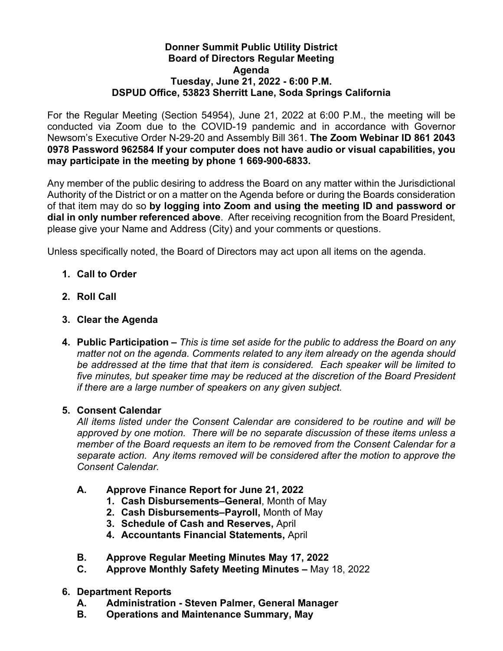## **Donner Summit Public Utility District Board of Directors Regular Meeting Agenda Tuesday, June 21, 2022 - 6:00 P.M. DSPUD Office, 53823 Sherritt Lane, Soda Springs California**

For the Regular Meeting (Section 54954), June 21, 2022 at 6:00 P.M., the meeting will be conducted via Zoom due to the COVID-19 pandemic and in accordance with Governor Newsom's Executive Order N-29-20 and Assembly Bill 361. **The Zoom Webinar ID 861 2043 0978 Password 962584 If your computer does not have audio or visual capabilities, you may participate in the meeting by phone 1 669-900-6833.**

Any member of the public desiring to address the Board on any matter within the Jurisdictional Authority of the District or on a matter on the Agenda before or during the Boards consideration of that item may do so **by logging into Zoom and using the meeting ID and password or dial in only number referenced above**. After receiving recognition from the Board President, please give your Name and Address (City) and your comments or questions.

Unless specifically noted, the Board of Directors may act upon all items on the agenda.

- **1. Call to Order**
- **2. Roll Call**
- **3. Clear the Agenda**
- **4. Public Participation –** *This is time set aside for the public to address the Board on any matter not on the agenda. Comments related to any item already on the agenda should be addressed at the time that that item is considered. Each speaker will be limited to*  five minutes, but speaker time may be reduced at the discretion of the Board President *if there are a large number of speakers on any given subject.*

## **5. Consent Calendar**

*All items listed under the Consent Calendar are considered to be routine and will be approved by one motion. There will be no separate discussion of these items unless a member of the Board requests an item to be removed from the Consent Calendar for a separate action. Any items removed will be considered after the motion to approve the Consent Calendar.*

- **A. Approve Finance Report for June 21, 2022**
	- **1. Cash Disbursements–General**, Month of May
	- **2. Cash Disbursements–Payroll,** Month of May
	- **3. Schedule of Cash and Reserves,** April
	- **4. Accountants Financial Statements,** April
- **B. Approve Regular Meeting Minutes May 17, 2022**
- **C. Approve Monthly Safety Meeting Minutes –** May 18, 2022
- **6. Department Reports** 
	- **A. Administration - Steven Palmer, General Manager**
	- **B. Operations and Maintenance Summary, May**